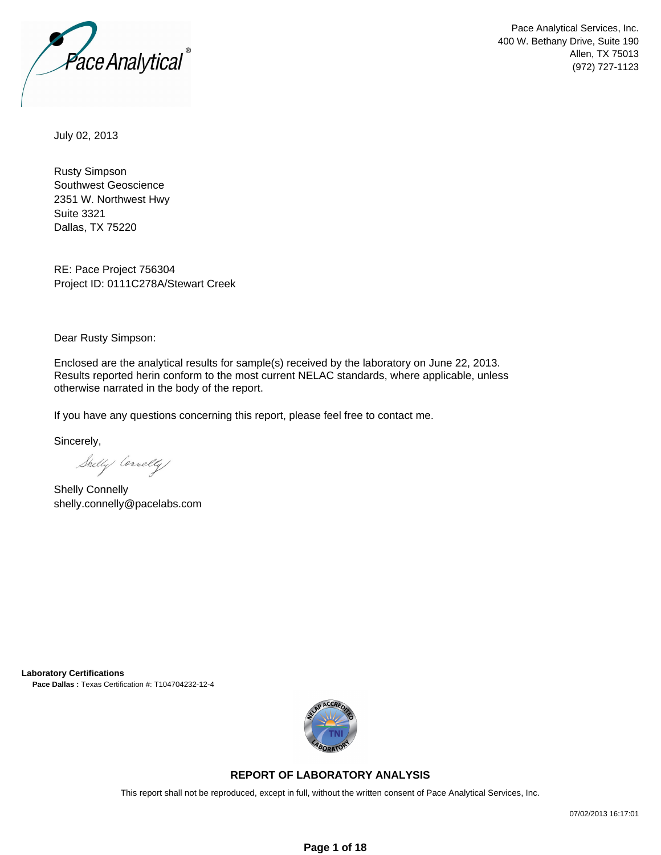

Pace Analytical Services, Inc. 400 W. Bethany Drive, Suite 190 Allen, TX 75013 (972) 727-1123

July 02, 2013

Rusty Simpson Southwest Geoscience 2351 W. Northwest Hwy Suite 3321 Dallas, TX 75220

RE: Pace Project 756304 Project ID: 0111C278A/Stewart Creek

Dear Rusty Simpson:

Enclosed are the analytical results for sample(s) received by the laboratory on June 22, 2013. Results reported herin conform to the most current NELAC standards, where applicable, unless otherwise narrated in the body of the report.

If you have any questions concerning this report, please feel free to contact me.

Sincerely,

Shelly Cornelly

Shelly Connelly shelly.connelly@pacelabs.com

**Laboratory Certifications Pace Dallas :** Texas Certification #: T104704232-12-4



### **REPORT OF LABORATORY ANALYSIS**

This report shall not be reproduced, except in full, without the written consent of Pace Analytical Services, Inc.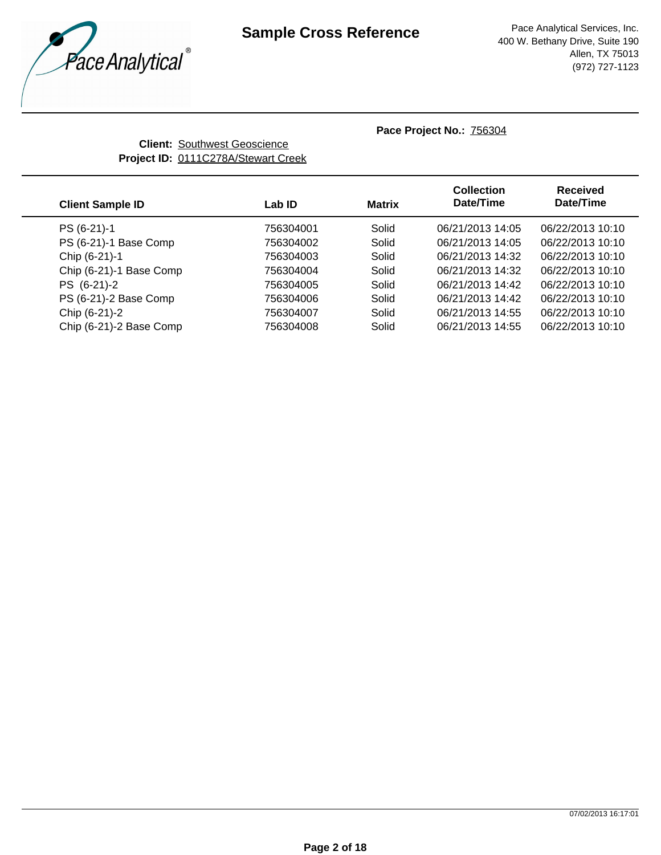

**Client:** Southwest Geoscience **Project ID:** 0111C278A/Stewart Creek

| <b>Client Sample ID</b> | Lab ID    | <b>Matrix</b> | <b>Collection</b><br>Date/Time | <b>Received</b><br>Date/Time |
|-------------------------|-----------|---------------|--------------------------------|------------------------------|
| PS (6-21)-1             | 756304001 | Solid         | 06/21/2013 14:05               | 06/22/2013 10:10             |
| PS (6-21)-1 Base Comp   | 756304002 | Solid         | 06/21/2013 14:05               | 06/22/2013 10:10             |
| Chip (6-21)-1           | 756304003 | Solid         | 06/21/2013 14:32               | 06/22/2013 10:10             |
| Chip (6-21)-1 Base Comp | 756304004 | Solid         | 06/21/2013 14:32               | 06/22/2013 10:10             |
| PS (6-21)-2             | 756304005 | Solid         | 06/21/2013 14:42               | 06/22/2013 10:10             |
| PS (6-21)-2 Base Comp   | 756304006 | Solid         | 06/21/2013 14:42               | 06/22/2013 10:10             |
| Chip (6-21)-2           | 756304007 | Solid         | 06/21/2013 14:55               | 06/22/2013 10:10             |
| Chip (6-21)-2 Base Comp | 756304008 | Solid         | 06/21/2013 14:55               | 06/22/2013 10:10             |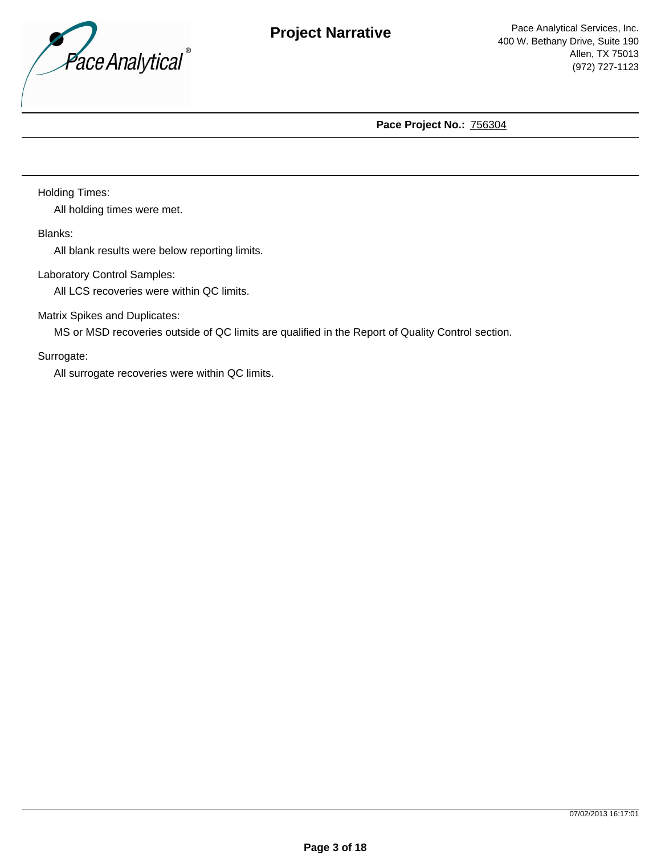

Holding Times:

All holding times were met.

Blanks:

All blank results were below reporting limits.

Laboratory Control Samples:

All LCS recoveries were within QC limits.

Matrix Spikes and Duplicates:

MS or MSD recoveries outside of QC limits are qualified in the Report of Quality Control section.

Surrogate:

All surrogate recoveries were within QC limits.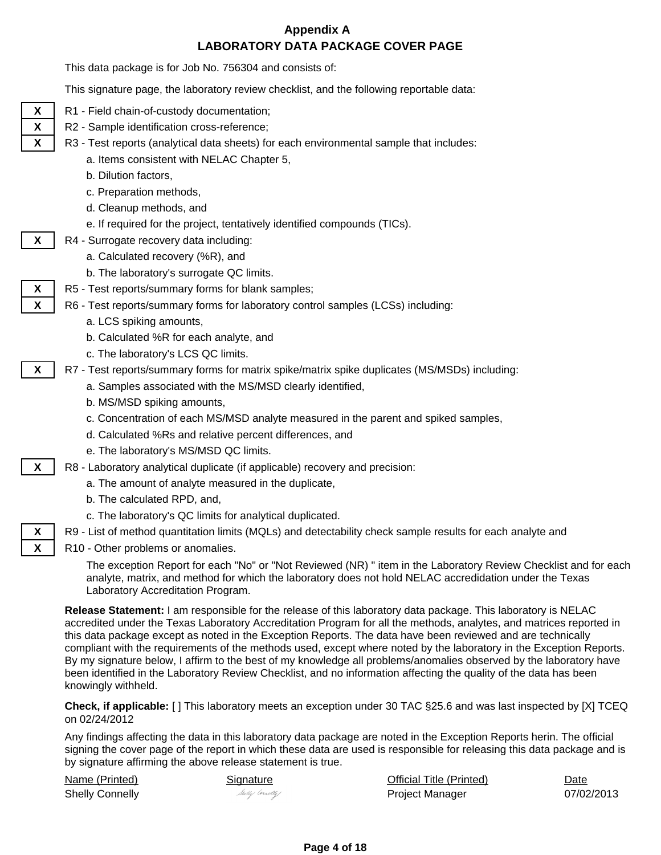# **Appendix A LABORATORY DATA PACKAGE COVER PAGE**

This data package is for Job No. 756304 and consists of:

This signature page, the laboratory review checklist, and the following reportable data:

- - **X** | R1 Field chain-of-custody documentation;
	- **X** | R2 Sample identification cross-reference;
	- **X** | R3 Test reports (analytical data sheets) for each environmental sample that includes:
		- a. Items consistent with NELAC Chapter 5,
		- b. Dilution factors,
		- c. Preparation methods,
		- d. Cleanup methods, and
		- e. If required for the project, tentatively identified compounds (TICs).
	- **X** | R4 Surrogate recovery data including:
		- a. Calculated recovery (%R), and
		- b. The laboratory's surrogate QC limits.
	- **X** | R5 Test reports/summary forms for blank samples;
	- **X** | R6 Test reports/summary forms for laboratory control samples (LCSs) including:
		- a. LCS spiking amounts,
		- b. Calculated %R for each analyte, and
		- c. The laboratory's LCS QC limits.
	- **X** | R7 Test reports/summary forms for matrix spike/matrix spike duplicates (MS/MSDs) including:
		- a. Samples associated with the MS/MSD clearly identified,
		- b. MS/MSD spiking amounts,
		- c. Concentration of each MS/MSD analyte measured in the parent and spiked samples,
		- d. Calculated %Rs and relative percent differences, and
		- e. The laboratory's MS/MSD QC limits.
	- **X** | R8 Laboratory analytical duplicate (if applicable) recovery and precision:
		- a. The amount of analyte measured in the duplicate,
		- b. The calculated RPD, and,
		- c. The laboratory's QC limits for analytical duplicated.
	- **X** | R9 List of method quantitation limits (MQLs) and detectability check sample results for each analyte and
	- **X** | R10 Other problems or anomalies.

The exception Report for each "No" or "Not Reviewed (NR) " item in the Laboratory Review Checklist and for each analyte, matrix, and method for which the laboratory does not hold NELAC accredidation under the Texas Laboratory Accreditation Program.

**Release Statement:** I am responsible for the release of this laboratory data package. This laboratory is NELAC accredited under the Texas Laboratory Accreditation Program for all the methods, analytes, and matrices reported in this data package except as noted in the Exception Reports. The data have been reviewed and are technically compliant with the requirements of the methods used, except where noted by the laboratory in the Exception Reports. By my signature below, I affirm to the best of my knowledge all problems/anomalies observed by the laboratory have been identified in the Laboratory Review Checklist, and no information affecting the quality of the data has been knowingly withheld.

**Check, if applicable:** [ ] This laboratory meets an exception under 30 TAC §25.6 and was last inspected by [X] TCEQ on 02/24/2012

Any findings affecting the data in this laboratory data package are noted in the Exception Reports herin. The official signing the cover page of the report in which these data are used is responsible for releasing this data package and is by signature affirming the above release statement is true.

Name (Printed) Shelly Connelly Sally Correlly

Signature **Official Title (Printed)** Date Project Manager 07/02/2013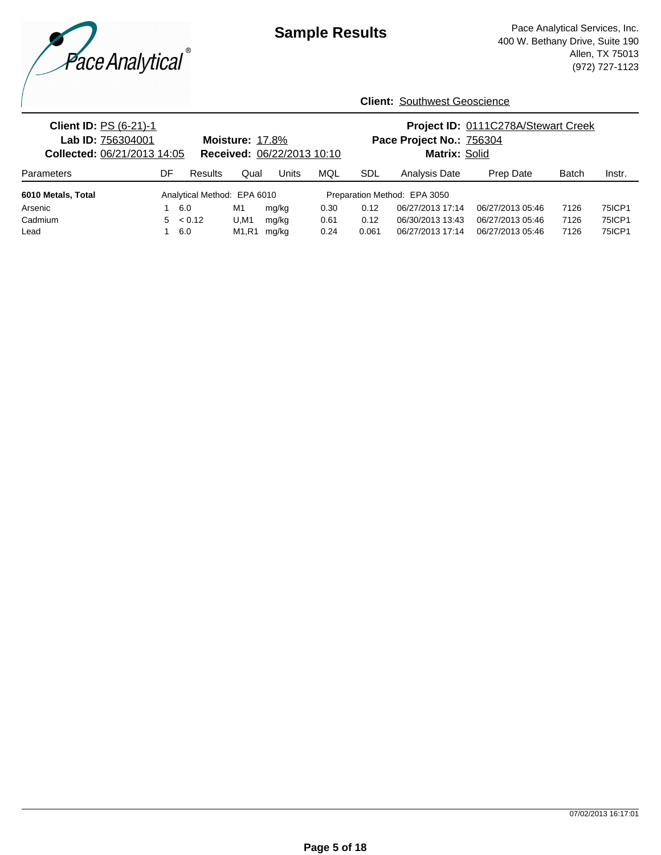

| <b>Client ID: PS (6-21)-1</b><br>Lab ID: 756304001<br>Collected: 06/21/2013 14:05 |    |                             | <b>Moisture: 17.8%</b>         | Received: 06/22/2013 10:10 |      |       | Pace Project No.: 756304<br>Matrix: Solid | Project ID: 0111C278A/Stewart Creek |              |        |  |
|-----------------------------------------------------------------------------------|----|-----------------------------|--------------------------------|----------------------------|------|-------|-------------------------------------------|-------------------------------------|--------------|--------|--|
| Parameters                                                                        | DF | Results                     | Qual                           | Units                      | MQL  | SDL   | Analysis Date                             | Prep Date                           | <b>Batch</b> | Instr. |  |
| 6010 Metals, Total                                                                |    | Analytical Method: EPA 6010 |                                |                            |      |       | Preparation Method: EPA 3050              |                                     |              |        |  |
| Arsenic                                                                           |    | 6.0                         | M1                             | mg/kg                      | 0.30 | 0.12  | 06/27/2013 17:14                          | 06/27/2013 05:46                    | 7126         | 75ICP1 |  |
| Cadmium                                                                           |    | $5 \le 0.12$                | U, M1                          | mg/kg                      | 0.61 | 0.12  | 06/30/2013 13:43                          | 06/27/2013 05:46                    | 7126         | 75ICP1 |  |
| Lead                                                                              |    | 6.0                         | M <sub>1</sub> .R <sub>1</sub> | mg/kg                      | 0.24 | 0.061 | 06/27/2013 17:14                          | 06/27/2013 05:46                    | 7126         | 75ICP1 |  |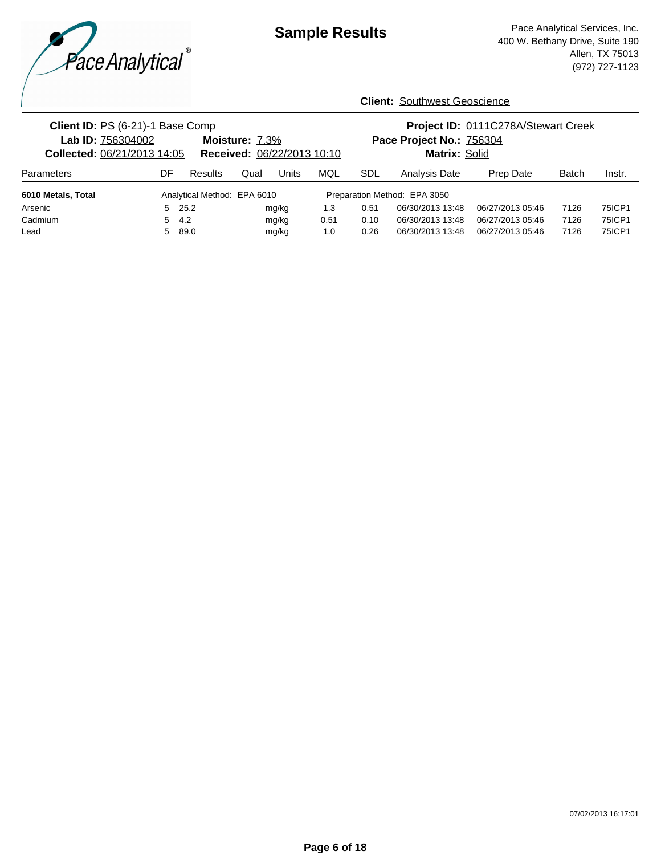

| Client ID: PS (6-21)-1 Base Comp<br>Lab ID: 756304002<br>Moisture: 7.3%<br>Received: 06/22/2013 10:10<br><b>Collected: 06/21/2013 14:05</b> |    |                             |      |       |      | Project ID: 0111C278A/Stewart Creek<br>Pace Project No.: 756304<br>Matrix: Solid |                              |                  |              |        |
|---------------------------------------------------------------------------------------------------------------------------------------------|----|-----------------------------|------|-------|------|----------------------------------------------------------------------------------|------------------------------|------------------|--------------|--------|
| Parameters                                                                                                                                  | DF | Results                     | Qual | Units | MQL  | <b>SDL</b>                                                                       | Analysis Date                | Prep Date        | <b>Batch</b> | Instr. |
| 6010 Metals, Total                                                                                                                          |    | Analytical Method: EPA 6010 |      |       |      |                                                                                  | Preparation Method: EPA 3050 |                  |              |        |
| Arsenic                                                                                                                                     |    | $5$ 25.2                    |      | mg/kg | 1.3  | 0.51                                                                             | 06/30/2013 13:48             | 06/27/2013 05:46 | 7126         | 75ICP1 |
| Cadmium                                                                                                                                     | 5  | 4.2                         |      | mg/kg | 0.51 | 0.10                                                                             | 06/30/2013 13:48             | 06/27/2013 05:46 | 7126         | 75ICP1 |
| Lead                                                                                                                                        | 5. | 89.0                        |      | mg/kg | 1.0  | 0.26                                                                             | 06/30/2013 13:48             | 06/27/2013 05:46 | 7126         | 75ICP1 |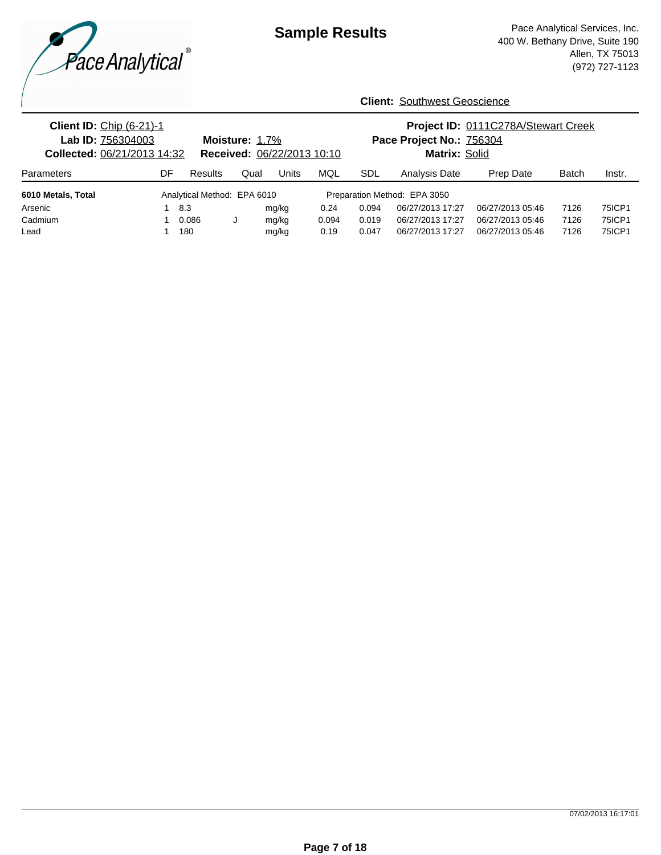

| <b>Client ID: Chip (6-21)-1</b><br>Lab ID: 756304003<br>Collected: 06/21/2013 14:32 |    |                             | Moisture: 1.7% | Received: 06/22/2013 10:10 |       | Project ID: 0111C278A/Stewart Creek<br>Pace Project No.: 756304<br>Matrix: Solid |                              |                  |              |               |
|-------------------------------------------------------------------------------------|----|-----------------------------|----------------|----------------------------|-------|----------------------------------------------------------------------------------|------------------------------|------------------|--------------|---------------|
| <b>Parameters</b>                                                                   | DF | Results                     | Qual           | Units                      | MQL   | SDL                                                                              | Analysis Date                | Prep Date        | <b>Batch</b> | Instr.        |
| 6010 Metals, Total                                                                  |    | Analytical Method: EPA 6010 |                |                            |       |                                                                                  | Preparation Method: EPA 3050 |                  |              |               |
| Arsenic                                                                             |    | 8.3                         |                | mg/kg                      | 0.24  | 0.094                                                                            | 06/27/2013 17:27             | 06/27/2013 05:46 | 7126         | 75ICP1        |
| Cadmium                                                                             |    | 0.086                       |                | mg/kg                      | 0.094 | 0.019                                                                            | 06/27/2013 17:27             | 06/27/2013 05:46 | 7126         | <b>75ICP1</b> |
| Lead                                                                                |    | 180                         |                | mg/kg                      | 0.19  | 0.047                                                                            | 06/27/2013 17:27             | 06/27/2013 05:46 | 7126         | 75ICP1        |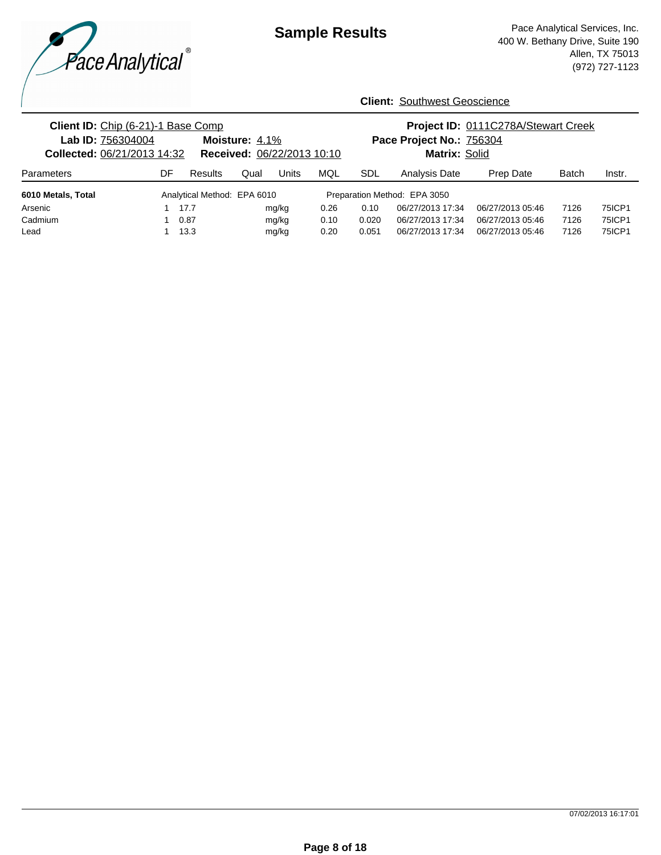

| Client ID: Chip (6-21)-1 Base Comp<br>Lab ID: 756304004<br>Collected: 06/21/2013 14:32 |    |                             | Moisture: 4.1%<br>Received: 06/22/2013 10:10 |       |      | Project ID: 0111C278A/Stewart Creek<br>Pace Project No.: 756304<br>Matrix: Solid |                              |                  |              |               |
|----------------------------------------------------------------------------------------|----|-----------------------------|----------------------------------------------|-------|------|----------------------------------------------------------------------------------|------------------------------|------------------|--------------|---------------|
| Parameters                                                                             | DF | Results                     | Qual                                         | Units | MQL  | SDL                                                                              | Analysis Date                | Prep Date        | <b>Batch</b> | Instr.        |
| 6010 Metals, Total                                                                     |    | Analytical Method: EPA 6010 |                                              |       |      |                                                                                  | Preparation Method: EPA 3050 |                  |              |               |
| Arsenic                                                                                |    | 17.7                        |                                              | mg/kg | 0.26 | 0.10                                                                             | 06/27/2013 17:34             | 06/27/2013 05:46 | 7126         | 75ICP1        |
| Cadmium                                                                                |    | 0.87                        |                                              | mg/kg | 0.10 | 0.020                                                                            | 06/27/2013 17:34             | 06/27/2013 05:46 | 7126         | 75ICP1        |
| Lead                                                                                   |    | 13.3                        |                                              | mg/kg | 0.20 | 0.051                                                                            | 06/27/2013 17:34             | 06/27/2013 05:46 | 7126         | <b>75ICP1</b> |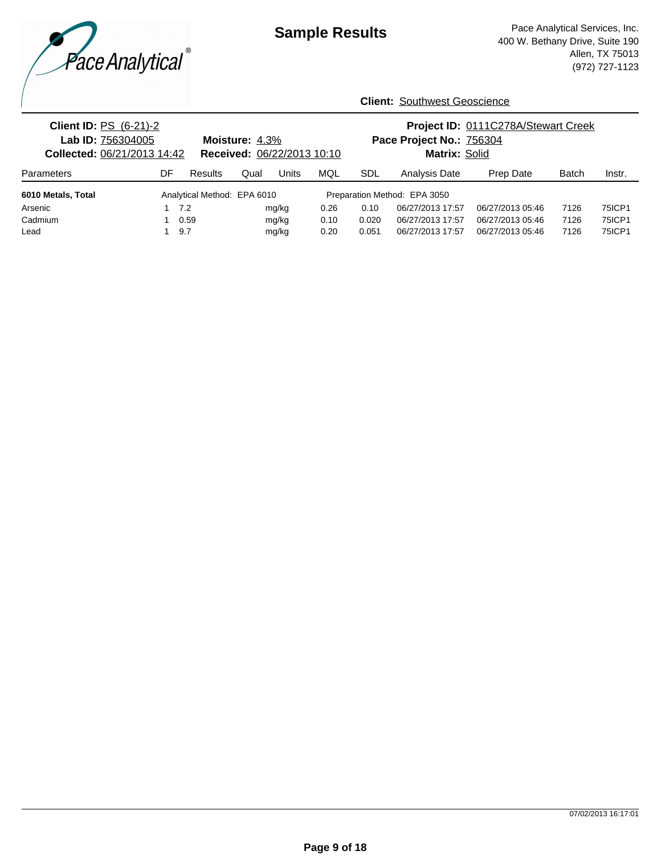

| <b>Client ID: PS (6-21)-2</b><br>Lab ID: 756304005<br>Collected: 06/21/2013 14:42 |    |                             | Moisture: 4.3%<br>Received: 06/22/2013 10:10 |       |      |            | Pace Project No.: 756304<br>Matrix: Solid |                  | Project ID: 0111C278A/Stewart Creek |               |  |
|-----------------------------------------------------------------------------------|----|-----------------------------|----------------------------------------------|-------|------|------------|-------------------------------------------|------------------|-------------------------------------|---------------|--|
| Parameters                                                                        | DF | Results                     | Qual                                         | Units | MQL  | <b>SDL</b> | Analysis Date                             | Prep Date        | <b>Batch</b>                        | Instr.        |  |
| 6010 Metals, Total                                                                |    | Analytical Method: EPA 6010 |                                              |       |      |            | Preparation Method: EPA 3050              |                  |                                     |               |  |
| Arsenic                                                                           |    | 7.2                         |                                              | mg/kg | 0.26 | 0.10       | 06/27/2013 17:57                          | 06/27/2013 05:46 | 7126                                | 75ICP1        |  |
| Cadmium                                                                           |    | 0.59                        |                                              | mg/kg | 0.10 | 0.020      | 06/27/2013 17:57                          | 06/27/2013 05:46 | 7126                                | <b>75ICP1</b> |  |
| Lead                                                                              |    | 9.7                         |                                              | mg/kg | 0.20 | 0.051      | 06/27/2013 17:57                          | 06/27/2013 05:46 | 7126                                | 75ICP1        |  |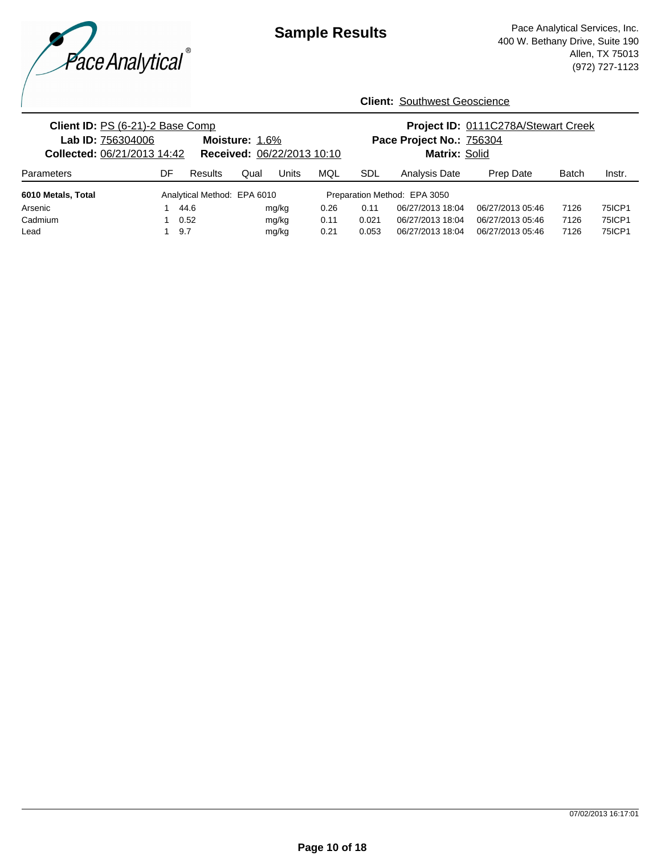

| Client ID: PS (6-21)-2 Base Comp<br>Lab ID: 756304006<br>Collected: 06/21/2013 14:42 |    |                             | Moisture: 1.6%<br>Received: 06/22/2013 10:10 |       |      | Project ID: 0111C278A/Stewart Creek<br>Pace Project No.: 756304<br>Matrix: Solid |                              |                  |              |               |
|--------------------------------------------------------------------------------------|----|-----------------------------|----------------------------------------------|-------|------|----------------------------------------------------------------------------------|------------------------------|------------------|--------------|---------------|
| Parameters                                                                           | DF | Results                     | Qual                                         | Units | MQL  | SDL                                                                              | Analysis Date                | Prep Date        | <b>Batch</b> | Instr.        |
| 6010 Metals, Total                                                                   |    | Analytical Method: EPA 6010 |                                              |       |      |                                                                                  | Preparation Method: EPA 3050 |                  |              |               |
| Arsenic                                                                              |    | 44.6                        |                                              | mg/kg | 0.26 | 0.11                                                                             | 06/27/2013 18:04             | 06/27/2013 05:46 | 7126         | 75ICP1        |
| Cadmium                                                                              |    | 0.52                        |                                              | mg/kg | 0.11 | 0.021                                                                            | 06/27/2013 18:04             | 06/27/2013 05:46 | 7126         | 75ICP1        |
| Lead                                                                                 |    | 9.7                         |                                              | mg/kg | 0.21 | 0.053                                                                            | 06/27/2013 18:04             | 06/27/2013 05:46 | 7126         | <b>75ICP1</b> |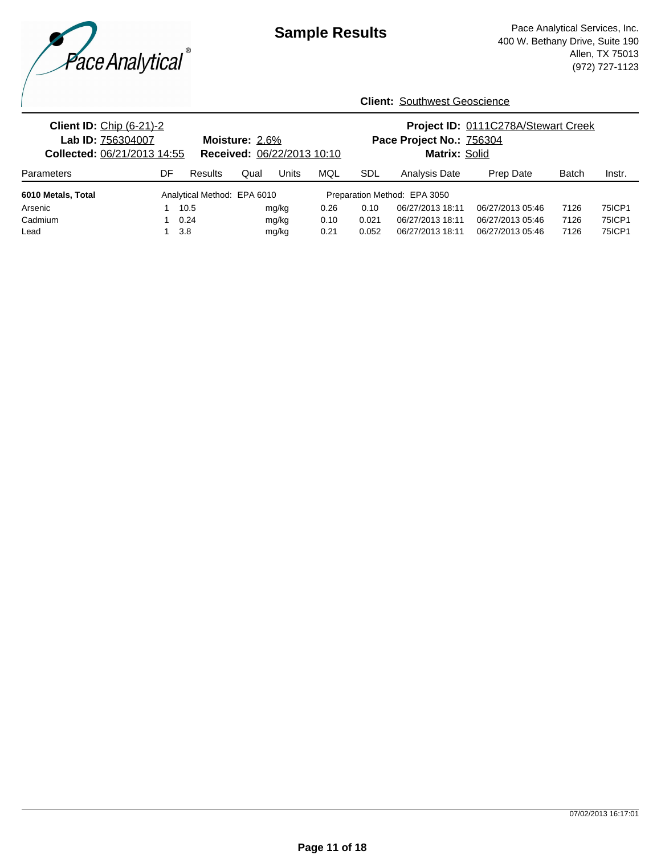

| <b>Client ID: Chip (6-21)-2</b><br>Lab ID: 756304007<br><b>Collected: 06/21/2013 14:55</b> |    |                             | Moisture: $2.6\%$<br>Received: 06/22/2013 10:10 |       |      | Project ID: 0111C278A/Stewart Creek<br>Pace Project No.: 756304<br>Matrix: Solid |                              |                  |              |               |
|--------------------------------------------------------------------------------------------|----|-----------------------------|-------------------------------------------------|-------|------|----------------------------------------------------------------------------------|------------------------------|------------------|--------------|---------------|
| <b>Parameters</b>                                                                          | DF | Results                     | Qual                                            | Units | MQL  | <b>SDL</b>                                                                       | Analysis Date                | Prep Date        | <b>Batch</b> | Instr.        |
| 6010 Metals, Total                                                                         |    | Analytical Method: EPA 6010 |                                                 |       |      |                                                                                  | Preparation Method: EPA 3050 |                  |              |               |
| Arsenic                                                                                    |    | 10.5                        |                                                 | mg/kg | 0.26 | 0.10                                                                             | 06/27/2013 18:11             | 06/27/2013 05:46 | 7126         | 75ICP1        |
| Cadmium                                                                                    |    | 0.24                        |                                                 | mg/kg | 0.10 | 0.021                                                                            | 06/27/2013 18:11             | 06/27/2013 05:46 | 7126         | <b>75ICP1</b> |
| Lead                                                                                       |    | 3.8                         |                                                 | mg/kg | 0.21 | 0.052                                                                            | 06/27/2013 18:11             | 06/27/2013 05:46 | 7126         | 75ICP1        |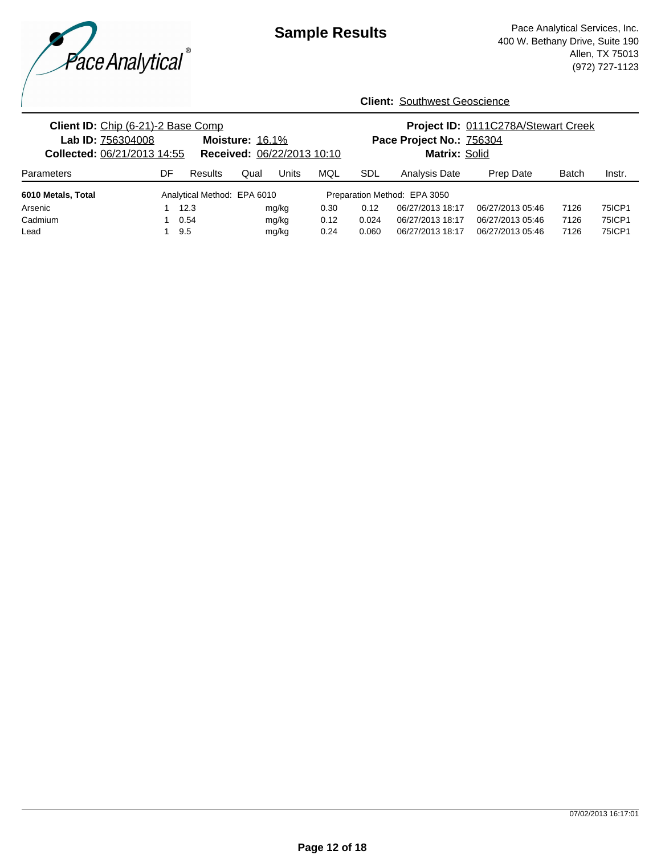

| Client ID: Chip (6-21)-2 Base Comp<br>Lab ID: 756304008<br>Collected: 06/21/2013 14:55 |    |                             | Moisture: 16.1%<br>Received: 06/22/2013 10:10 |       |      | Project ID: 0111C278A/Stewart Creek<br>Pace Project No.: 756304<br>Matrix: Solid |                              |                  |              |        |
|----------------------------------------------------------------------------------------|----|-----------------------------|-----------------------------------------------|-------|------|----------------------------------------------------------------------------------|------------------------------|------------------|--------------|--------|
| <b>Parameters</b>                                                                      | DF | Results                     | Qual                                          | Units | MQL  | SDL                                                                              | <b>Analysis Date</b>         | Prep Date        | <b>Batch</b> | Instr. |
| 6010 Metals, Total                                                                     |    | Analytical Method: EPA 6010 |                                               |       |      |                                                                                  | Preparation Method: EPA 3050 |                  |              |        |
| Arsenic                                                                                |    | 12.3                        |                                               | mg/kg | 0.30 | 0.12                                                                             | 06/27/2013 18:17             | 06/27/2013 05:46 | 7126         | 75ICP1 |
| Cadmium                                                                                |    | 0.54                        |                                               | mg/kg | 0.12 | 0.024                                                                            | 06/27/2013 18:17             | 06/27/2013 05:46 | 7126         | 75ICP1 |
| Lead                                                                                   |    | 9.5                         |                                               | mg/kg | 0.24 | 0.060                                                                            | 06/27/2013 18:17             | 06/27/2013 05:46 | 7126         | 75ICP1 |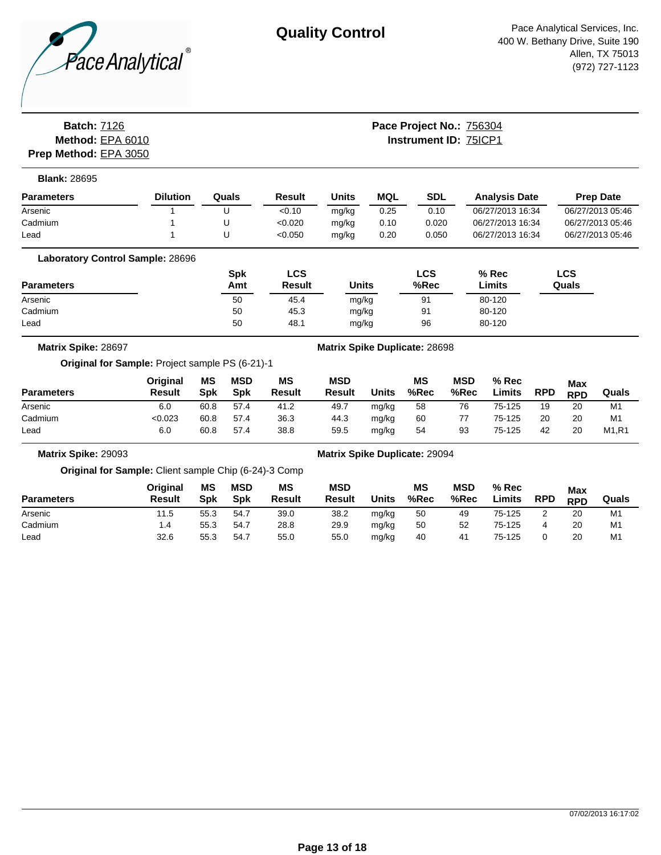

## **Batch:** 7126 **Method:** EPA 6010 **Instrument ID:** 75ICP1 **Prep Method:** EPA 3050

# **Pace Project No.:** 756304

| <b>Parameters</b> | <b>Dilution</b> | Quals | Result  | Units | MQL  | <b>SDL</b> | <b>Analysis Date</b> | <b>Prep Date</b> |
|-------------------|-----------------|-------|---------|-------|------|------------|----------------------|------------------|
| Arsenic           |                 | U     | < 0.10  | mg/kg | 0.25 | 0.10       | 06/27/2013 16:34     | 06/27/2013 05:46 |
| Cadmium           |                 | U     | < 0.020 | mg/kg | 0.10 | 0.020      | 06/27/2013 16:34     | 06/27/2013 05:46 |
| Lead              |                 | U     | < 0.050 | mg/kg | 0.20 | 0.050      | 06/27/2013 16:34     | 06/27/2013 05:46 |

| <b>Parameters</b> | Spk<br>Amt | LCS<br><b>Result</b> | <b>Units</b> | LCS<br>%Rec | $%$ Rec<br>Limits | LCS<br>Quals |
|-------------------|------------|----------------------|--------------|-------------|-------------------|--------------|
| Arsenic           | 50         | 45.4                 | mg/kg        | 91          | 80-120            |              |
| Cadmium           | 50         | 45.3                 | mg/kg        | 91          | 80-120            |              |
| Lead              | 50         | 48.1                 | mg/kg        | 96          | 80-120            |              |

**Matrix Spike:** 28697 **Matrix Spike Duplicate:** 28698

### **Original for Sample:** Project sample PS (6-21)-1

| <b>Parameters</b> | <b>Original</b><br>Result | <b>MS</b><br>Spk | <b>MSD</b><br><b>Spk</b> | ΜS<br><b>Result</b> | <b>MSD</b><br><b>Result</b> | Units | ΜS<br>%Rec | <b>MSD</b><br>%Rec | $%$ Rec<br>∟imits | <b>RPD</b> | <b>Max</b><br><b>RPD</b> | Quals                          |
|-------------------|---------------------------|------------------|--------------------------|---------------------|-----------------------------|-------|------------|--------------------|-------------------|------------|--------------------------|--------------------------------|
| Arsenic           | 6.0                       | 60.8             | 57.4                     | 41.2                | 49.7                        | mg/kg | 58         | 76                 | 75-125            | 19         | 20                       | M1                             |
| Cadmium           | < 0.023                   | 60.8             | 57.4                     | 36.3                | 44.3                        | mg/kg | 60         | 77                 | 75-125            | 20         | 20                       | M1                             |
| Lead              | 6.0                       | 60.8             | 57.4                     | 38.8                | 59.5                        | mg/kg | 54         | 93                 | 75-125            | 42         | 20                       | M <sub>1</sub> .R <sub>1</sub> |

**Matrix Spike:** 29093 **Matrix Spike Duplicate:** 29094

**Original for Sample:** Client sample Chip (6-24)-3 Comp

| <b>Parameters</b> | <b>Original</b><br><b>Result</b> | ΜS<br>Spk | <b>MSD</b><br><b>Spk</b> | ΜS<br><b>Result</b> | <b>MSD</b><br><b>Result</b> | Units | <b>MS</b><br>%Rec | <b>MSD</b><br>%Rec | $%$ Rec<br>Limits | <b>RPD</b> | <b>Max</b><br><b>RPD</b> | Quals          |
|-------------------|----------------------------------|-----------|--------------------------|---------------------|-----------------------------|-------|-------------------|--------------------|-------------------|------------|--------------------------|----------------|
| Arsenic           | 11.5                             | 55.3      | 54.7                     | 39.0                | 38.2                        | mg/kg | 50                | 49                 | 75-125            |            | 20                       | M <sub>1</sub> |
| Cadmium           | 4. ا                             | 55.3      | 54.7                     | 28.8                | 29.9                        | mg/kg | 50                | 52                 | 75-125            |            | 20                       | M <sub>1</sub> |
| Lead              | 32.6                             | 55.3      | 54.7                     | 55.0                | 55.0                        | mg/kg | 40                | 41                 | 75-125            |            | 20                       | M <sub>1</sub> |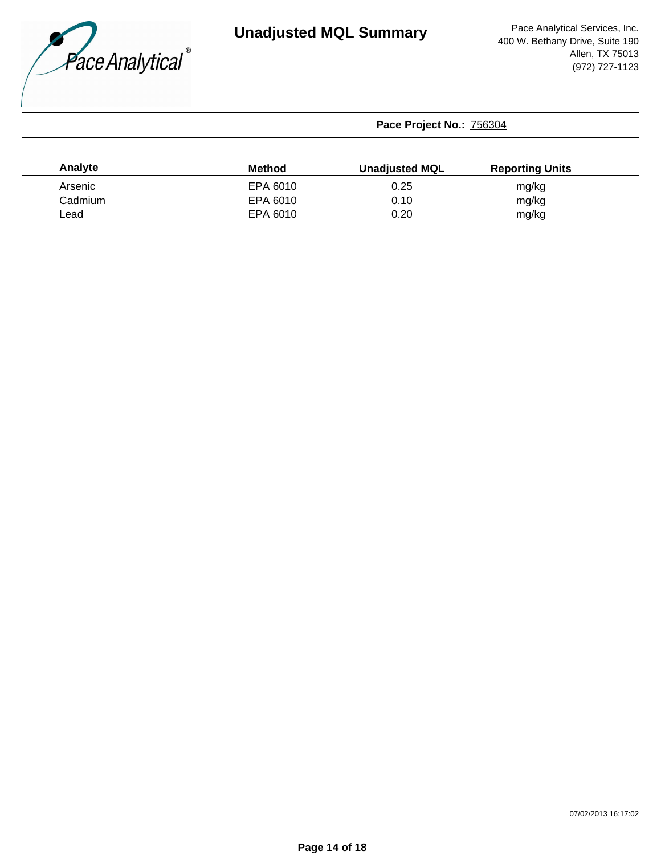

| Analyte | <b>Method</b> | <b>Unadjusted MQL</b> | <b>Reporting Units</b> |  |
|---------|---------------|-----------------------|------------------------|--|
| Arsenic | EPA 6010      | 0.25                  | mg/kg                  |  |
| Cadmium | EPA 6010      | 0.10                  | mg/kg                  |  |
| _ead    | EPA 6010      | 0.20                  | mg/kg                  |  |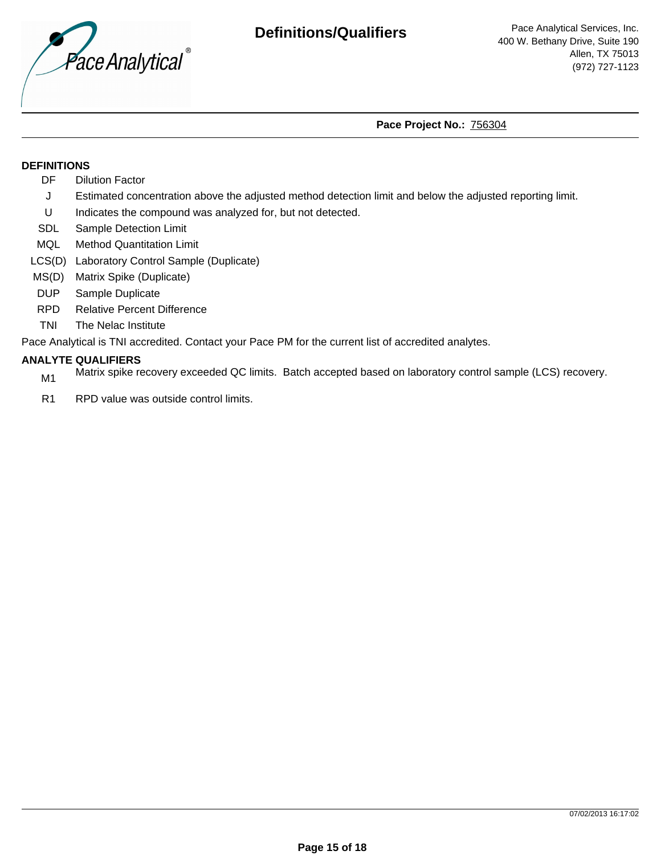

### **DEFINITIONS**

- DF Dilution Factor
- J Estimated concentration above the adjusted method detection limit and below the adjusted reporting limit.
- U Indicates the compound was analyzed for, but not detected.
- SDL Sample Detection Limit
- MQL Method Quantitation Limit
- LCS(D) Laboratory Control Sample (Duplicate)
- MS(D) Matrix Spike (Duplicate)
- DUP Sample Duplicate
- RPD Relative Percent Difference
- TNI The Nelac Institute

Pace Analytical is TNI accredited. Contact your Pace PM for the current list of accredited analytes.

# **ANALYTE QUALIFIERS**

- Matrix spike recovery exceeded QC limits. Batch accepted based on laboratory control sample (LCS) recovery.
- R1 RPD value was outside control limits.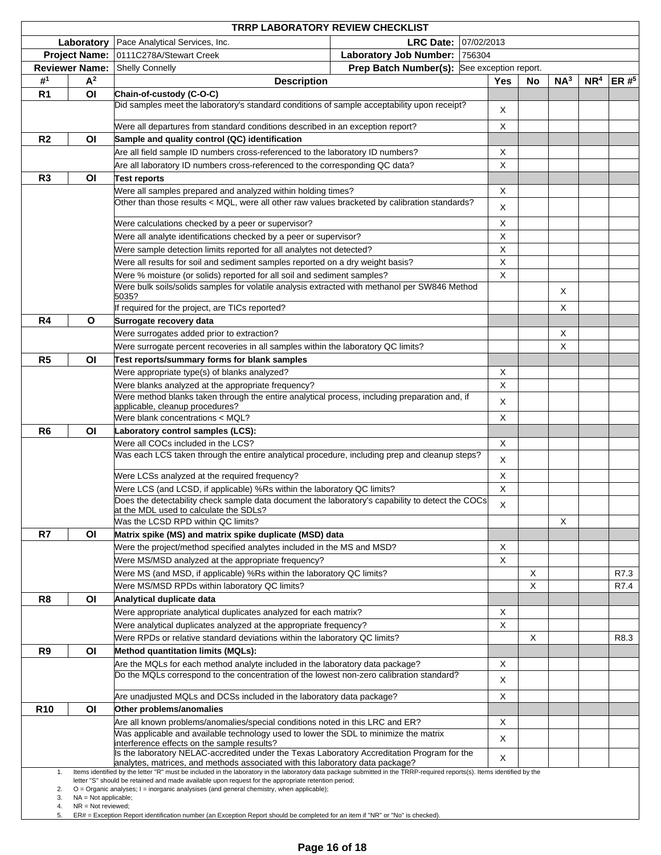|                 |                                                | <b>TRRP LABORATORY REVIEW CHECKLIST</b>                                                                                                                                                                                                                                        |                               |                       |            |          |                 |                 |          |
|-----------------|------------------------------------------------|--------------------------------------------------------------------------------------------------------------------------------------------------------------------------------------------------------------------------------------------------------------------------------|-------------------------------|-----------------------|------------|----------|-----------------|-----------------|----------|
|                 | Laboratory                                     | Pace Analytical Services, Inc.                                                                                                                                                                                                                                                 | <b>LRC Date:</b>              | 07/02/2013            |            |          |                 |                 |          |
|                 | <b>Project Name:</b>                           | 0111C278A/Stewart Creek                                                                                                                                                                                                                                                        | <b>Laboratory Job Number:</b> | 756304                |            |          |                 |                 |          |
|                 | <b>Reviewer Name:</b>                          | <b>Shelly Connelly</b>                                                                                                                                                                                                                                                         | <b>Prep Batch Number(s):</b>  | See exception report. |            |          |                 |                 |          |
| # <sup>1</sup>  | A <sup>2</sup>                                 | <b>Description</b>                                                                                                                                                                                                                                                             |                               |                       | <b>Yes</b> | No       | NA <sup>3</sup> | NR <sup>4</sup> | ER $#^5$ |
| R <sub>1</sub>  | O <sub>l</sub>                                 | Chain-of-custody (C-O-C)                                                                                                                                                                                                                                                       |                               |                       |            |          |                 |                 |          |
|                 |                                                | Did samples meet the laboratory's standard conditions of sample acceptability upon receipt?                                                                                                                                                                                    |                               |                       | х          |          |                 |                 |          |
|                 |                                                |                                                                                                                                                                                                                                                                                |                               |                       |            |          |                 |                 |          |
|                 |                                                | Were all departures from standard conditions described in an exception report?                                                                                                                                                                                                 |                               |                       | X          |          |                 |                 |          |
| R <sub>2</sub>  | ΟI                                             | Sample and quality control (QC) identification                                                                                                                                                                                                                                 |                               |                       |            |          |                 |                 |          |
|                 |                                                | Are all field sample ID numbers cross-referenced to the laboratory ID numbers?                                                                                                                                                                                                 |                               |                       | х          |          |                 |                 |          |
|                 |                                                | Are all laboratory ID numbers cross-referenced to the corresponding QC data?                                                                                                                                                                                                   |                               |                       | X          |          |                 |                 |          |
| R <sub>3</sub>  | O <sub>l</sub>                                 | Test reports                                                                                                                                                                                                                                                                   |                               |                       |            |          |                 |                 |          |
|                 |                                                | Were all samples prepared and analyzed within holding times?                                                                                                                                                                                                                   |                               |                       | Х          |          |                 |                 |          |
|                 |                                                | Other than those results < MQL, were all other raw values bracketed by calibration standards?                                                                                                                                                                                  |                               |                       | Χ          |          |                 |                 |          |
|                 |                                                | Were calculations checked by a peer or supervisor?                                                                                                                                                                                                                             |                               |                       | Χ          |          |                 |                 |          |
|                 |                                                | Were all analyte identifications checked by a peer or supervisor?                                                                                                                                                                                                              |                               |                       | Χ          |          |                 |                 |          |
|                 |                                                | Were sample detection limits reported for all analytes not detected?                                                                                                                                                                                                           |                               |                       | Χ          |          |                 |                 |          |
|                 |                                                | Were all results for soil and sediment samples reported on a dry weight basis?                                                                                                                                                                                                 |                               |                       | Χ          |          |                 |                 |          |
|                 |                                                |                                                                                                                                                                                                                                                                                |                               |                       | X          |          |                 |                 |          |
|                 |                                                | Were % moisture (or solids) reported for all soil and sediment samples?<br>Were bulk soils/solids samples for volatile analysis extracted with methanol per SW846 Method                                                                                                       |                               |                       |            |          |                 |                 |          |
|                 |                                                | 5035?                                                                                                                                                                                                                                                                          |                               |                       |            |          | Χ               |                 |          |
|                 |                                                | If required for the project, are TICs reported?                                                                                                                                                                                                                                |                               |                       |            |          | X               |                 |          |
| R <sub>4</sub>  | $\mathbf{o}$                                   | Surrogate recovery data                                                                                                                                                                                                                                                        |                               |                       |            |          |                 |                 |          |
|                 |                                                | Were surrogates added prior to extraction?                                                                                                                                                                                                                                     |                               |                       |            |          | Χ               |                 |          |
|                 |                                                | Were surrogate percent recoveries in all samples within the laboratory QC limits?                                                                                                                                                                                              |                               |                       |            |          | X               |                 |          |
| R5              | ΟI                                             | Test reports/summary forms for blank samples                                                                                                                                                                                                                                   |                               |                       |            |          |                 |                 |          |
|                 |                                                | Were appropriate type(s) of blanks analyzed?                                                                                                                                                                                                                                   |                               |                       | х          |          |                 |                 |          |
|                 |                                                | Were blanks analyzed at the appropriate frequency?                                                                                                                                                                                                                             |                               |                       | X          |          |                 |                 |          |
|                 |                                                | Were method blanks taken through the entire analytical process, including preparation and, if                                                                                                                                                                                  |                               |                       | Χ          |          |                 |                 |          |
|                 |                                                | applicable, cleanup procedures?                                                                                                                                                                                                                                                |                               |                       |            |          |                 |                 |          |
|                 |                                                | Were blank concentrations < MQL?                                                                                                                                                                                                                                               |                               |                       | X          |          |                 |                 |          |
| R <sub>6</sub>  | O <sub>l</sub>                                 | Laboratory control samples (LCS):                                                                                                                                                                                                                                              |                               |                       |            |          |                 |                 |          |
|                 |                                                | Were all COCs included in the LCS?                                                                                                                                                                                                                                             |                               |                       | X          |          |                 |                 |          |
|                 |                                                | Was each LCS taken through the entire analytical procedure, including prep and cleanup steps?                                                                                                                                                                                  |                               |                       | X          |          |                 |                 |          |
|                 |                                                | Were LCSs analyzed at the required frequency?                                                                                                                                                                                                                                  |                               |                       | X          |          |                 |                 |          |
|                 |                                                | Were LCS (and LCSD, if applicable) %Rs within the laboratory QC limits?                                                                                                                                                                                                        |                               |                       | X          |          |                 |                 |          |
|                 |                                                | Does the detectability check sample data document the laboratory's capability to detect the COCs                                                                                                                                                                               |                               |                       |            |          |                 |                 |          |
|                 |                                                | at the MDL used to calculate the SDLs?                                                                                                                                                                                                                                         |                               |                       | X          |          |                 |                 |          |
|                 |                                                | Was the LCSD RPD within QC limits?                                                                                                                                                                                                                                             |                               |                       |            |          | X               |                 |          |
| R7              | O <sub>l</sub>                                 | Matrix spike (MS) and matrix spike duplicate (MSD) data                                                                                                                                                                                                                        |                               |                       |            |          |                 |                 |          |
|                 |                                                | Were the project/method specified analytes included in the MS and MSD?                                                                                                                                                                                                         |                               |                       | х          |          |                 |                 |          |
|                 |                                                | Were MS/MSD analyzed at the appropriate frequency?                                                                                                                                                                                                                             |                               |                       | X          |          |                 |                 |          |
|                 |                                                | Were MS (and MSD, if applicable) %Rs within the laboratory QC limits?                                                                                                                                                                                                          |                               |                       |            | X        |                 |                 | R7.3     |
|                 |                                                | Were MS/MSD RPDs within laboratory QC limits?                                                                                                                                                                                                                                  |                               |                       |            | $\times$ |                 |                 | R7.4     |
| R <sub>8</sub>  | O <sub>l</sub>                                 | Analytical duplicate data                                                                                                                                                                                                                                                      |                               |                       |            |          |                 |                 |          |
|                 |                                                | Were appropriate analytical duplicates analyzed for each matrix?                                                                                                                                                                                                               |                               |                       | х          |          |                 |                 |          |
|                 |                                                | Were analytical duplicates analyzed at the appropriate frequency?                                                                                                                                                                                                              |                               |                       | X          |          |                 |                 |          |
|                 |                                                | Were RPDs or relative standard deviations within the laboratory QC limits?                                                                                                                                                                                                     |                               |                       |            | X        |                 |                 | R8.3     |
| R <sub>9</sub>  | O <sub>l</sub>                                 | Method quantitation limits (MQLs):                                                                                                                                                                                                                                             |                               |                       |            |          |                 |                 |          |
|                 |                                                | Are the MQLs for each method analyte included in the laboratory data package?                                                                                                                                                                                                  |                               |                       | х          |          |                 |                 |          |
|                 |                                                | Do the MQLs correspond to the concentration of the lowest non-zero calibration standard?                                                                                                                                                                                       |                               |                       | х          |          |                 |                 |          |
|                 |                                                |                                                                                                                                                                                                                                                                                |                               |                       |            |          |                 |                 |          |
|                 |                                                | Are unadjusted MQLs and DCSs included in the laboratory data package?                                                                                                                                                                                                          |                               |                       | X          |          |                 |                 |          |
| R <sub>10</sub> | O <sub>l</sub>                                 | Other problems/anomalies                                                                                                                                                                                                                                                       |                               |                       |            |          |                 |                 |          |
|                 |                                                | Are all known problems/anomalies/special conditions noted in this LRC and ER?                                                                                                                                                                                                  |                               |                       | X          |          |                 |                 |          |
|                 |                                                | Was applicable and available technology used to lower the SDL to minimize the matrix<br>interference effects on the sample results?                                                                                                                                            |                               |                       | X          |          |                 |                 |          |
|                 |                                                | Is the laboratory NELAC-accredited under the Texas Laboratory Accreditation Program for the                                                                                                                                                                                    |                               |                       | X          |          |                 |                 |          |
|                 |                                                | analytes, matrices, and methods associated with this laboratory data package?                                                                                                                                                                                                  |                               |                       |            |          |                 |                 |          |
| 1.              |                                                | Items identified by the letter "R" must be included in the laboratory in the laboratory data package submitted in the TRRP-required reports(s). Items identified by the<br>letter "S" should be retained and made available upon request for the appropriate retention period; |                               |                       |            |          |                 |                 |          |
| 2.              |                                                | $O =$ Organic analyses; $I =$ inorganic analysises (and general chemistry, when applicable);                                                                                                                                                                                   |                               |                       |            |          |                 |                 |          |
| 3.<br>4.        | $NA = Not applicable;$<br>$NR = Not$ reviewed; |                                                                                                                                                                                                                                                                                |                               |                       |            |          |                 |                 |          |
| 5.              |                                                | ER# = Exception Report identification number (an Exception Report should be completed for an item if "NR" or "No" is checked).                                                                                                                                                 |                               |                       |            |          |                 |                 |          |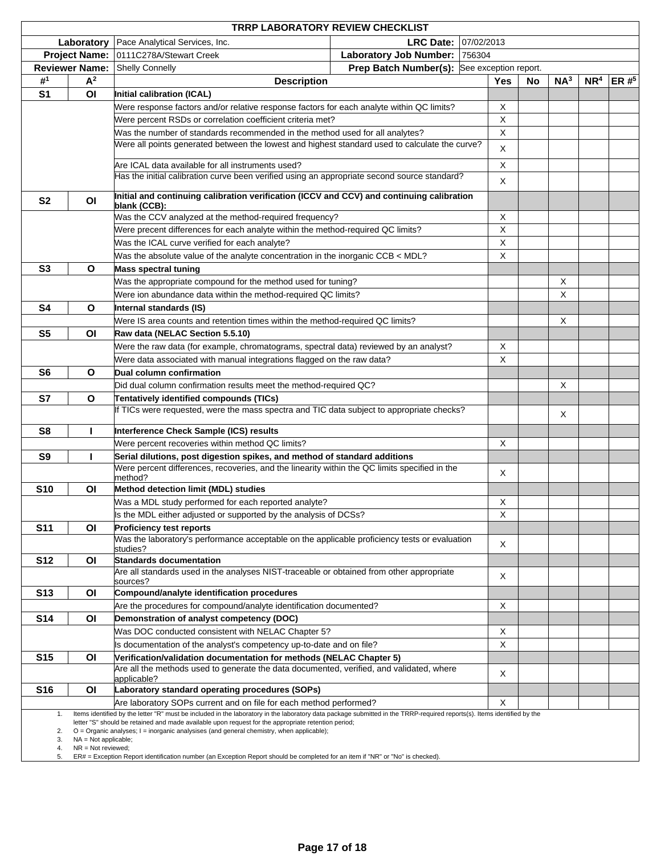|                      |                                                | <b>TRRP LABORATORY REVIEW CHECKLIST</b>                                                                                                                                                                                                                                                                                           |                                             |            |             |           |                 |                 |         |
|----------------------|------------------------------------------------|-----------------------------------------------------------------------------------------------------------------------------------------------------------------------------------------------------------------------------------------------------------------------------------------------------------------------------------|---------------------------------------------|------------|-------------|-----------|-----------------|-----------------|---------|
|                      | Laboratory                                     | Pace Analytical Services, Inc.                                                                                                                                                                                                                                                                                                    | <b>LRC Date:</b>                            | 07/02/2013 |             |           |                 |                 |         |
|                      | <b>Project Name:</b>                           | 0111C278A/Stewart Creek                                                                                                                                                                                                                                                                                                           | <b>Laboratory Job Number:</b>               | 756304     |             |           |                 |                 |         |
|                      | <b>Reviewer Name:</b>                          | <b>Shelly Connelly</b>                                                                                                                                                                                                                                                                                                            | Prep Batch Number(s): See exception report. |            |             |           |                 |                 |         |
| # <sup>1</sup>       | $A^2$                                          | <b>Description</b>                                                                                                                                                                                                                                                                                                                |                                             |            | <b>Yes</b>  | <b>No</b> | NA <sup>3</sup> | NR <sup>4</sup> | ER# $5$ |
| S <sub>1</sub>       | O <sub>l</sub>                                 | Initial calibration (ICAL)                                                                                                                                                                                                                                                                                                        |                                             |            |             |           |                 |                 |         |
|                      |                                                | Were response factors and/or relative response factors for each analyte within QC limits?                                                                                                                                                                                                                                         |                                             |            | Χ           |           |                 |                 |         |
|                      |                                                | Were percent RSDs or correlation coefficient criteria met?                                                                                                                                                                                                                                                                        |                                             |            | $\mathsf X$ |           |                 |                 |         |
|                      |                                                | Was the number of standards recommended in the method used for all analytes?                                                                                                                                                                                                                                                      |                                             |            | $\mathsf X$ |           |                 |                 |         |
|                      |                                                | Were all points generated between the lowest and highest standard used to calculate the curve?                                                                                                                                                                                                                                    |                                             |            | X           |           |                 |                 |         |
|                      |                                                | Are ICAL data available for all instruments used?                                                                                                                                                                                                                                                                                 |                                             |            | X           |           |                 |                 |         |
|                      |                                                | Has the initial calibration curve been verified using an appropriate second source standard?                                                                                                                                                                                                                                      |                                             |            |             |           |                 |                 |         |
|                      |                                                |                                                                                                                                                                                                                                                                                                                                   |                                             |            | Χ           |           |                 |                 |         |
| S <sub>2</sub>       | OI                                             | Initial and continuing calibration verification (ICCV and CCV) and continuing calibration<br>blank (CCB):                                                                                                                                                                                                                         |                                             |            |             |           |                 |                 |         |
|                      |                                                | Was the CCV analyzed at the method-required frequency?                                                                                                                                                                                                                                                                            |                                             |            | X           |           |                 |                 |         |
|                      |                                                | Were precent differences for each analyte within the method-required QC limits?                                                                                                                                                                                                                                                   |                                             |            | $\mathsf X$ |           |                 |                 |         |
|                      |                                                | Was the ICAL curve verified for each analyte?                                                                                                                                                                                                                                                                                     |                                             |            | $\mathsf X$ |           |                 |                 |         |
|                      |                                                | Was the absolute value of the analyte concentration in the inorganic CCB < MDL?                                                                                                                                                                                                                                                   |                                             |            | $\mathsf X$ |           |                 |                 |         |
| S <sub>3</sub>       | O                                              | Mass spectral tuning                                                                                                                                                                                                                                                                                                              |                                             |            |             |           |                 |                 |         |
|                      |                                                | Was the appropriate compound for the method used for tuning?                                                                                                                                                                                                                                                                      |                                             |            |             |           | Χ               |                 |         |
|                      |                                                | Were ion abundance data within the method-required QC limits?                                                                                                                                                                                                                                                                     |                                             |            |             |           | X               |                 |         |
| S <sub>4</sub>       | O                                              | Internal standards (IS)                                                                                                                                                                                                                                                                                                           |                                             |            |             |           |                 |                 |         |
|                      |                                                | Were IS area counts and retention times within the method-required QC limits?                                                                                                                                                                                                                                                     |                                             |            |             |           | Χ               |                 |         |
| S <sub>5</sub>       | ΟI                                             | Raw data (NELAC Section 5.5.10)                                                                                                                                                                                                                                                                                                   |                                             |            |             |           |                 |                 |         |
|                      |                                                | Were the raw data (for example, chromatograms, spectral data) reviewed by an analyst?                                                                                                                                                                                                                                             |                                             |            | Χ           |           |                 |                 |         |
|                      |                                                | Were data associated with manual integrations flagged on the raw data?                                                                                                                                                                                                                                                            |                                             |            | Χ           |           |                 |                 |         |
| S <sub>6</sub>       | O                                              | Dual column confirmation                                                                                                                                                                                                                                                                                                          |                                             |            |             |           |                 |                 |         |
|                      |                                                | Did dual column confirmation results meet the method-required QC?                                                                                                                                                                                                                                                                 |                                             |            |             |           | Χ               |                 |         |
| S7                   | O                                              | Tentatively identified compounds (TICs)                                                                                                                                                                                                                                                                                           |                                             |            |             |           |                 |                 |         |
|                      |                                                | If TICs were requested, were the mass spectra and TIC data subject to appropriate checks?                                                                                                                                                                                                                                         |                                             |            |             |           | Χ               |                 |         |
| S <sub>8</sub>       | L                                              | Interference Check Sample (ICS) results                                                                                                                                                                                                                                                                                           |                                             |            |             |           |                 |                 |         |
|                      |                                                | Were percent recoveries within method QC limits?                                                                                                                                                                                                                                                                                  |                                             |            | X           |           |                 |                 |         |
| S <sub>9</sub>       | ı                                              | Serial dilutions, post digestion spikes, and method of standard additions                                                                                                                                                                                                                                                         |                                             |            |             |           |                 |                 |         |
|                      |                                                | Were percent differences, recoveries, and the linearity within the QC limits specified in the                                                                                                                                                                                                                                     |                                             |            | X           |           |                 |                 |         |
| <b>S10</b>           |                                                | method?                                                                                                                                                                                                                                                                                                                           |                                             |            |             |           |                 |                 |         |
|                      | ΟI                                             | Method detection limit (MDL) studies<br>Was a MDL study performed for each reported analyte?                                                                                                                                                                                                                                      |                                             |            | Χ           |           |                 |                 |         |
|                      |                                                | Is the MDL either adjusted or supported by the analysis of DCSs?                                                                                                                                                                                                                                                                  |                                             |            | X           |           |                 |                 |         |
| <b>S11</b>           | O <sub>l</sub>                                 | <b>Proficiency test reports</b>                                                                                                                                                                                                                                                                                                   |                                             |            |             |           |                 |                 |         |
|                      |                                                | Was the laboratory's performance acceptable on the applicable proficiency tests or evaluation                                                                                                                                                                                                                                     |                                             |            |             |           |                 |                 |         |
|                      |                                                | studies?                                                                                                                                                                                                                                                                                                                          |                                             |            | X           |           |                 |                 |         |
| <b>S12</b>           | O <sub>l</sub>                                 | <b>Standards documentation</b>                                                                                                                                                                                                                                                                                                    |                                             |            |             |           |                 |                 |         |
|                      |                                                | Are all standards used in the analyses NIST-traceable or obtained from other appropriate                                                                                                                                                                                                                                          |                                             |            | X           |           |                 |                 |         |
| <b>S13</b>           | O <sub>l</sub>                                 | sources?<br>Compound/analyte identification procedures                                                                                                                                                                                                                                                                            |                                             |            |             |           |                 |                 |         |
|                      |                                                | Are the procedures for compound/analyte identification documented?                                                                                                                                                                                                                                                                |                                             |            | X           |           |                 |                 |         |
| <b>S14</b>           | O <sub>l</sub>                                 | Demonstration of analyst competency (DOC)                                                                                                                                                                                                                                                                                         |                                             |            |             |           |                 |                 |         |
|                      |                                                | Was DOC conducted consistent with NELAC Chapter 5?                                                                                                                                                                                                                                                                                |                                             |            | X           |           |                 |                 |         |
|                      |                                                | Is documentation of the analyst's competency up-to-date and on file?                                                                                                                                                                                                                                                              |                                             |            | Χ           |           |                 |                 |         |
| <b>S15</b>           | O <sub>l</sub>                                 | Verification/validation documentation for methods (NELAC Chapter 5)                                                                                                                                                                                                                                                               |                                             |            |             |           |                 |                 |         |
|                      |                                                | Are all the methods used to generate the data documented, verified, and validated, where                                                                                                                                                                                                                                          |                                             |            | Χ           |           |                 |                 |         |
| <b>S16</b>           | O <sub>l</sub>                                 | applicable?<br>Laboratory standard operating procedures (SOPs)                                                                                                                                                                                                                                                                    |                                             |            |             |           |                 |                 |         |
|                      |                                                | Are laboratory SOPs current and on file for each method performed?                                                                                                                                                                                                                                                                |                                             |            | X           |           |                 |                 |         |
| 1.                   |                                                | Items identified by the letter "R" must be included in the laboratory in the laboratory data package submitted in the TRRP-required reports(s). Items identified by the                                                                                                                                                           |                                             |            |             |           |                 |                 |         |
| 2.<br>3.<br>4.<br>5. | $NA = Not applicable;$<br>$NR = Not$ reviewed; | letter "S" should be retained and made available upon request for the appropriate retention period;<br>O = Organic analyses; I = inorganic analysises (and general chemistry, when applicable);<br>ER# = Exception Report identification number (an Exception Report should be completed for an item if "NR" or "No" is checked). |                                             |            |             |           |                 |                 |         |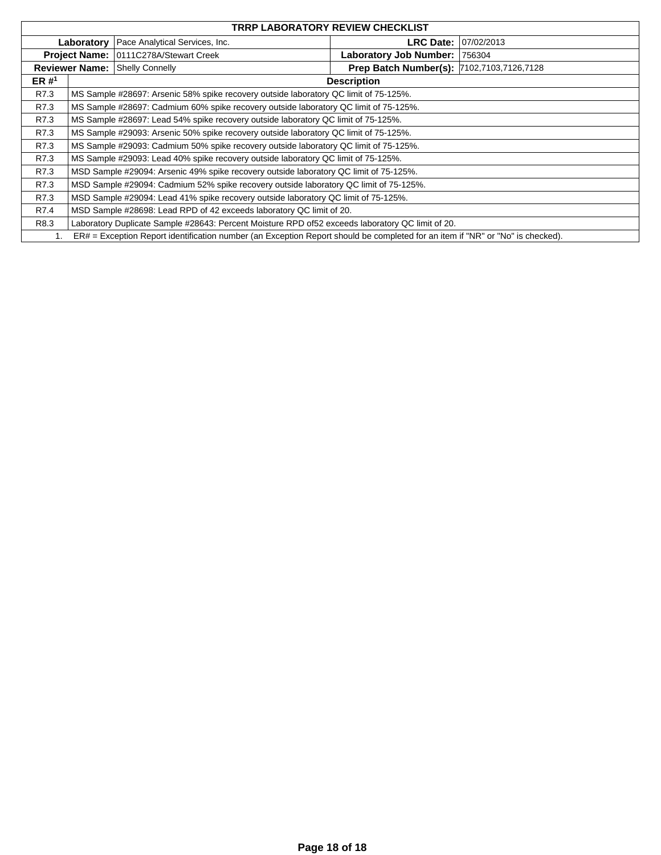|         |                      |                                                                                                                                | <b>TRRP LABORATORY REVIEW CHECKLIST</b>   |            |
|---------|----------------------|--------------------------------------------------------------------------------------------------------------------------------|-------------------------------------------|------------|
|         | Laboratory           | Pace Analytical Services, Inc.                                                                                                 | LRC Date: I                               | 07/02/2013 |
|         | <b>Project Name:</b> | 0111C278A/Stewart Creek                                                                                                        | Laboratory Job Number:                    | 756304     |
|         |                      | <b>Reviewer Name: Shelly Connelly</b>                                                                                          | Prep Batch Number(s): 7102,7103,7126,7128 |            |
| ER $#1$ |                      |                                                                                                                                | <b>Description</b>                        |            |
| R7.3    |                      | MS Sample #28697: Arsenic 58% spike recovery outside laboratory QC limit of 75-125%.                                           |                                           |            |
| R7.3    |                      | MS Sample #28697: Cadmium 60% spike recovery outside laboratory QC limit of 75-125%.                                           |                                           |            |
| R7.3    |                      | MS Sample #28697: Lead 54% spike recovery outside laboratory QC limit of 75-125%.                                              |                                           |            |
| R7.3    |                      | MS Sample #29093: Arsenic 50% spike recovery outside laboratory QC limit of 75-125%.                                           |                                           |            |
| R7.3    |                      | MS Sample #29093: Cadmium 50% spike recovery outside laboratory QC limit of 75-125%.                                           |                                           |            |
| R7.3    |                      | MS Sample #29093: Lead 40% spike recovery outside laboratory QC limit of 75-125%.                                              |                                           |            |
| R7.3    |                      | MSD Sample #29094: Arsenic 49% spike recovery outside laboratory QC limit of 75-125%.                                          |                                           |            |
| R7.3    |                      | MSD Sample #29094: Cadmium 52% spike recovery outside laboratory QC limit of 75-125%.                                          |                                           |            |
| R7.3    |                      | MSD Sample #29094: Lead 41% spike recovery outside laboratory QC limit of 75-125%.                                             |                                           |            |
| R7.4    |                      | MSD Sample #28698: Lead RPD of 42 exceeds laboratory QC limit of 20.                                                           |                                           |            |
| R8.3    |                      | Laboratory Duplicate Sample #28643: Percent Moisture RPD of 52 exceeds laboratory QC limit of 20.                              |                                           |            |
|         |                      | ER# = Exception Report identification number (an Exception Report should be completed for an item if "NR" or "No" is checked). |                                           |            |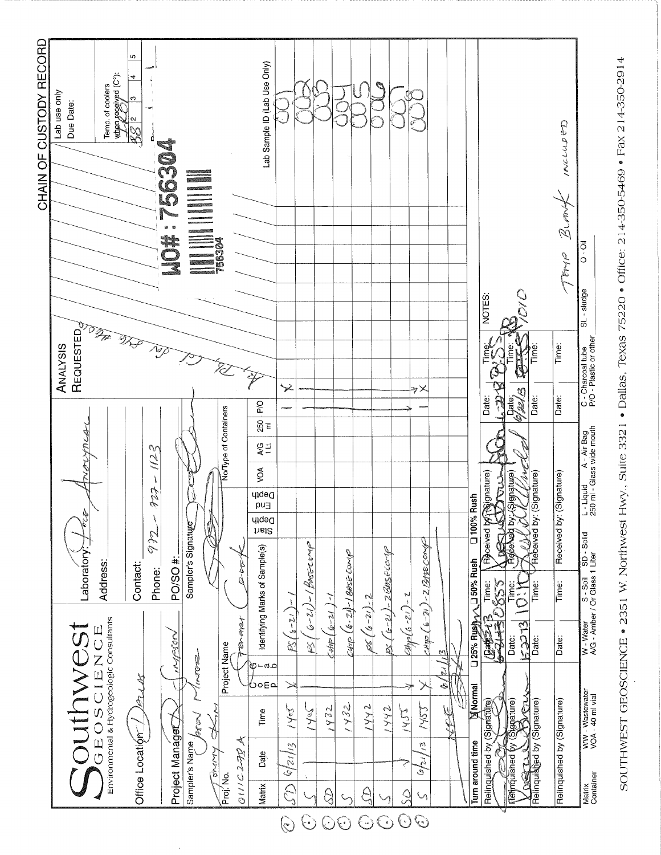

SOUTHWEST GEOSCIENCE . 2351 W. Northwest Hwy., Suite 3321 . Dallas, Texas 75220 . Office: 214-350-5469 . Fax 214-350-2914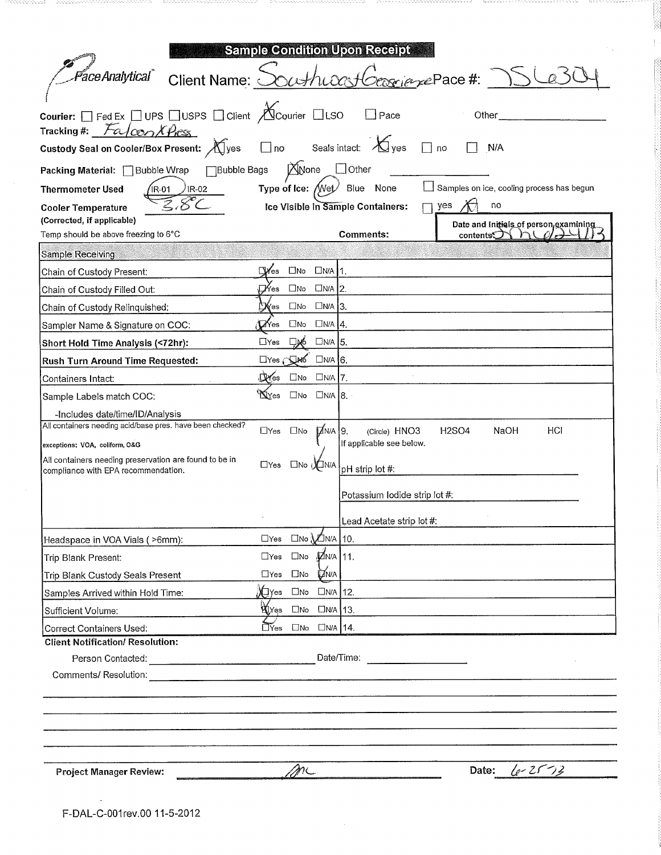|                                                                                              | <b>Sample Condition Upon Receipt</b>             |                                                                                                                                     |
|----------------------------------------------------------------------------------------------|--------------------------------------------------|-------------------------------------------------------------------------------------------------------------------------------------|
| <i>PaceAnalytical</i> Client Name: <u>C</u>                                                  |                                                  | <u>rejezePace</u> #:                                                                                                                |
| Courier: □ Fed Ex □ UPS □ USPS □ Client △ Courier □ LSO<br>FalconXPres<br>Tracking #:        |                                                  | $\Box$ Pace<br>Other                                                                                                                |
| Custody Seal on Cooler/Box Present: XIyes                                                    | $\Box$ no                                        | Seals intact: $\bigotimes$ yes<br>$\Box$ no<br>N/A                                                                                  |
| <b>Bubble Bags</b><br>Packing Material: Bubble Wrap                                          | None                                             | $\Box$ Other                                                                                                                        |
| <b>Thermometer Used</b><br>$IR-02$<br>IR-01                                                  | Type of Ice: $\sqrt{N}$ et                       | Samples on ice, cooling process has begun<br>Blue<br>None                                                                           |
| <b>Cooler Temperature</b>                                                                    | Ice Visible in Sample Containers:                | no<br>yes                                                                                                                           |
| (Corrected, if applicable)                                                                   |                                                  | Date and Initials of person examining                                                                                               |
| Temp should be above freezing to 6°C                                                         |                                                  | Comments:<br>contents                                                                                                               |
| Sample Receiving                                                                             |                                                  |                                                                                                                                     |
| Chain of Custody Present:                                                                    | $\mathbb{I}$ Yes<br>$\Box$ No $\Box$ N/A 1.      |                                                                                                                                     |
| Chain of Custody Filled Out.                                                                 | ∏∕Yes<br>$\square$ No<br>$UNA$ 2.                |                                                                                                                                     |
| Chain of Custody Relinquished:                                                               | $\square$ No $\square$ N/A 3.<br>∑¥es            |                                                                                                                                     |
| Sampler Name & Signature on COC:                                                             | $\Box$ No $\Box$ N/A $\vert$ 4.<br><b>Li</b> Yes |                                                                                                                                     |
| Short Hold Time Analysis (<72hr):                                                            | ⊟мб<br>$UNA$ 5.<br>$\Box$ Yes                    |                                                                                                                                     |
| Rush Turn Around Time Requested:                                                             | $\square$ Yes $\square$ M6 $\square$ N/A 6.      |                                                                                                                                     |
| Containers Intact:                                                                           | $\Box$ No $\Box$ N/A 7.<br>$\mathbb{Q}$ Yes      |                                                                                                                                     |
| Sample Labels match COC.                                                                     | XYes<br>$UNA$ $8.$<br>$\square$ No               |                                                                                                                                     |
| -Includes date/time/ID/Analysis<br>All containers needing acid/base pres. have been checked? |                                                  |                                                                                                                                     |
| exceptions: VOA, coliform, O&G                                                               | $\mathbb{Z}$ N/A 9.<br>$\Box$ Yes $\Box$ No      | HCI<br><b>H2SO4</b><br>NaOH<br>(Circle) HNO3<br>If applicable see below.                                                            |
| All containers needing preservation are found to be in                                       | $\Box$ Yes<br>□No <sub>1</sub> 】 N/A             | pH strip lot #:                                                                                                                     |
| compliance with EPA recommendation.                                                          |                                                  |                                                                                                                                     |
|                                                                                              |                                                  | Potassium Iodide strip lot #:                                                                                                       |
|                                                                                              |                                                  | Lead Acetate strip lot #:                                                                                                           |
| Headspace in VOA Vials ( >6mm):                                                              | $\Box$ No $\Box$ N/A   10.<br>$\Box$ Yes         |                                                                                                                                     |
| Trip Blank Present:                                                                          | $\Box$ No $M$ N/A 11.<br>$\Box$ Yes              |                                                                                                                                     |
| Trip Blank Custody Seals Present                                                             | <b>DIN/A</b><br>$\Box$ Yes<br>$\square$ No       |                                                                                                                                     |
| Samples Arrived within Hold Time:                                                            | X∏Yes □No □N/A 12.                               |                                                                                                                                     |
| Sufficient Volume:                                                                           | W∐Yes □No<br>$UNA$ 13.                           |                                                                                                                                     |
| <b>Correct Containers Used:</b>                                                              | $\Box$ Yes $\Box$ No<br>$UNA$ 14.                |                                                                                                                                     |
| <b>Client Notification/ Resolution:</b>                                                      |                                                  |                                                                                                                                     |
|                                                                                              |                                                  | Date/Time:<br><u> a componente de la componente de la componente de la componente de la componente de la componente de la compo</u> |
| Comments/ Resolution:                                                                        |                                                  |                                                                                                                                     |
|                                                                                              |                                                  |                                                                                                                                     |
|                                                                                              |                                                  |                                                                                                                                     |
|                                                                                              |                                                  |                                                                                                                                     |
|                                                                                              |                                                  |                                                                                                                                     |
| <b>Project Manager Review:</b>                                                               | ML                                               | Date: $\left( e \right)$ $2\sqrt{3}$                                                                                                |